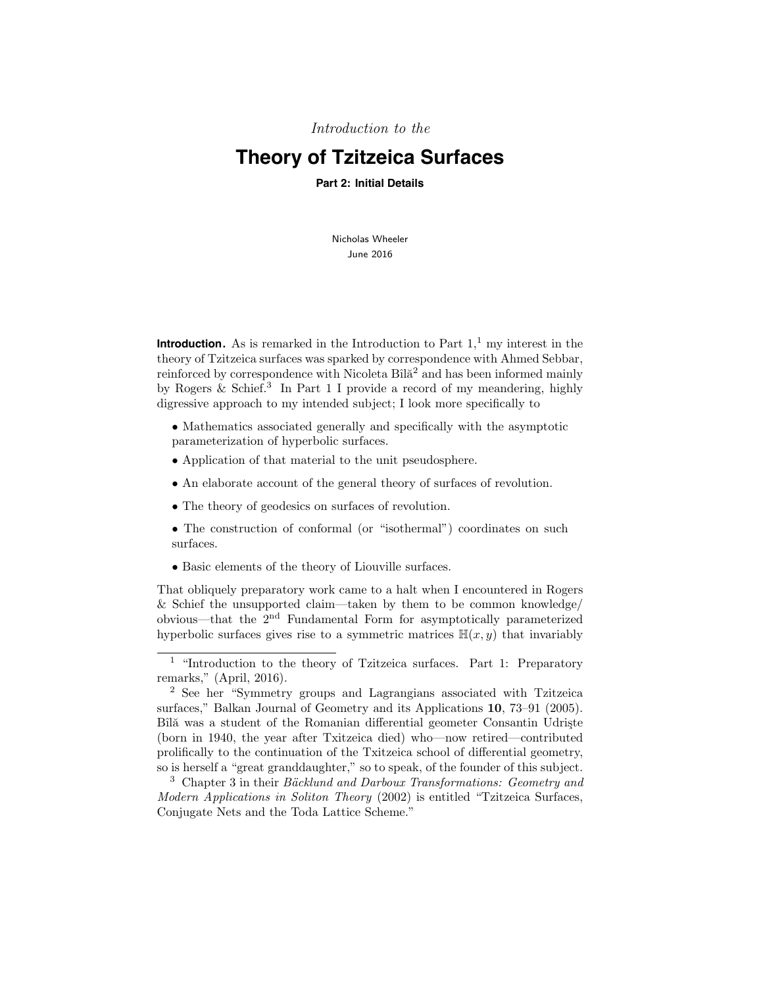Introduction to the

# **Theory of Tzitzeica Surfaces**

**Part 2: Initial Details**

Nicholas Wheeler June 2016

**Introduction.** As is remarked in the Introduction to Part  $1<sup>1</sup>$  my interest in the theory of Tzitzeica surfaces was sparked by correspondence with Ahmed Sebbar, reinforced by correspondence with Nicoleta  $B$ îlă<sup>2</sup> and has been informed mainly by Rogers  $&$  Schief.<sup>3</sup> In Part 1 I provide a record of my meandering, highly digressive approach to my intended subject; I look more specifically to

- Mathematics associated generally and specifically with the asymptotic parameterization of hyperbolic surfaces.
- Application of that material to the unit pseudosphere.
- An elaborate account of the general theory of surfaces of revolution.
- The theory of geodesics on surfaces of revolution.
- The construction of conformal (or "isothermal") coordinates on such surfaces.
- Basic elements of the theory of Liouville surfaces.

That obliquely preparatory work came to a halt when I encountered in Rogers & Schief the unsupported claim—taken by them to be common knowledge/ obvious—that the 2nd Fundamental Form for asymptotically parameterized hyperbolic surfaces gives rise to a symmetric matrices  $\mathbb{H}(x, y)$  that invariably

<sup>&</sup>lt;sup>1</sup> "Introduction to the theory of Tzitzeica surfaces. Part 1: Preparatory remarks," (April, 2016).

<sup>2</sup> See her "Symmetry groups and Lagrangians associated with Tzitzeica surfaces," Balkan Journal of Geometry and its Applications 10, 73–91 (2005). Bîlă was a student of the Romanian differential geometer Consantin Udriște (born in 1940, the year after Txitzeica died) who—now retired—contributed prolifically to the continuation of the Txitzeica school of differential geometry, so is herself a "great granddaughter," so to speak, of the founder of this subject.

 $3$  Chapter 3 in their *Bäcklund and Darboux Transformations: Geometry and* Modern Applications in Soliton Theory (2002) is entitled "Tzitzeica Surfaces, Conjugate Nets and the Toda Lattice Scheme."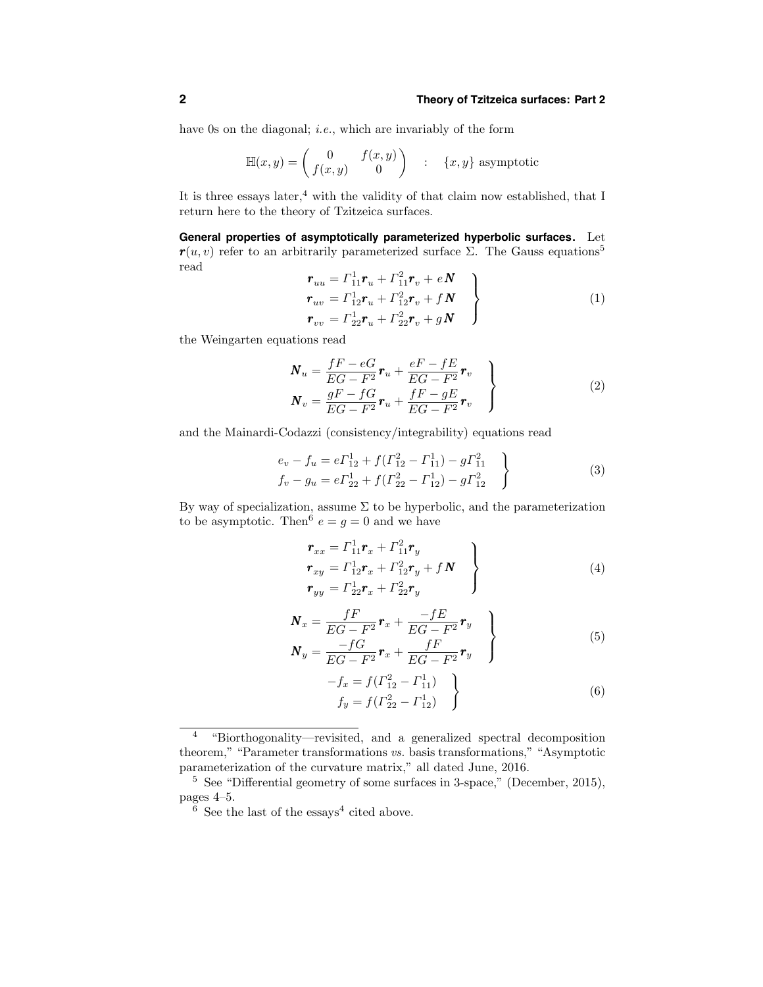have 0s on the diagonal; *i.e.*, which are invariably of the form

$$
\mathbb{H}(x,y) = \begin{pmatrix} 0 & f(x,y) \\ f(x,y) & 0 \end{pmatrix} \quad : \quad \{x,y\} \text{ asymptotic}
$$

It is three essays later,<sup>4</sup> with the validity of that claim now established, that I return here to the theory of Tzitzeica surfaces.

**General properties of asymptotically parameterized hyperbolic surfaces.** Let  $r(u, v)$  refer to an arbitrarily parameterized surface Σ. The Gauss equations<sup>5</sup> read

$$
\begin{aligned}\n\boldsymbol{r}_{uu} &= \Gamma_{11}^{1} \boldsymbol{r}_{u} + \Gamma_{11}^{2} \boldsymbol{r}_{v} + e \boldsymbol{N} \\
\boldsymbol{r}_{uv} &= \Gamma_{12}^{1} \boldsymbol{r}_{u} + \Gamma_{12}^{2} \boldsymbol{r}_{v} + f \boldsymbol{N} \\
\boldsymbol{r}_{vv} &= \Gamma_{22}^{1} \boldsymbol{r}_{u} + \Gamma_{22}^{2} \boldsymbol{r}_{v} + g \boldsymbol{N}\n\end{aligned}\n\tag{1}
$$

the Weingarten equations read

$$
\boldsymbol{N}_u = \frac{fF - eG}{EG - F^2} \boldsymbol{r}_u + \frac{eF - fE}{EG - F^2} \boldsymbol{r}_v
$$
\n
$$
\boldsymbol{N}_v = \frac{gF - fG}{EG - F^2} \boldsymbol{r}_u + \frac{fF - gE}{EG - F^2} \boldsymbol{r}_v
$$
\n(2)

and the Mainardi-Codazzi (consistency/integrability) equations read

$$
e_v - f_u = e\Gamma_{12}^1 + f(\Gamma_{12}^2 - \Gamma_{11}^1) - g\Gamma_{11}^2
$$
  
\n
$$
f_v - g_u = e\Gamma_{22}^1 + f(\Gamma_{22}^2 - \Gamma_{12}^1) - g\Gamma_{12}^2
$$
\n(3)

By way of specialization, assume  $\Sigma$  to be hyperbolic, and the parameterization to be asymptotic. Then <sup>6</sup>  $e = q = 0$  and we have

$$
\begin{aligned}\n\mathbf{r}_{xx} &= \Gamma_{11}^{1} \mathbf{r}_{x} + \Gamma_{11}^{2} \mathbf{r}_{y} \\
\mathbf{r}_{xy} &= \Gamma_{12}^{1} \mathbf{r}_{x} + \Gamma_{12}^{2} \mathbf{r}_{y} + f \mathbf{N} \\
\mathbf{r}_{yy} &= \Gamma_{22}^{1} \mathbf{r}_{x} + \Gamma_{22}^{2} \mathbf{r}_{y}\n\end{aligned} \tag{4}
$$

$$
\boldsymbol{N}_x = \frac{fF}{EG - F^2} \boldsymbol{r}_x + \frac{-fE}{EG - F^2} \boldsymbol{r}_y
$$
\n
$$
\boldsymbol{N}_y = \frac{-fG}{EG - F^2} \boldsymbol{r}_x + \frac{fF}{EG - F^2} \boldsymbol{r}_y
$$
\n(5)

$$
-f_x = f(\Gamma_{12}^2 - \Gamma_{11}^1) f_y = f(\Gamma_{22}^2 - \Gamma_{12}^1)
$$
 (6)

<sup>4</sup> "Biorthogonality—revisited, and a generalized spectral decomposition theorem," "Parameter transformations vs. basis transformations," "Asymptotic parameterization of the curvature matrix," all dated June, 2016.

<sup>5</sup> See "Differential geometry of some surfaces in 3-space," (December, 2015), pages 4–5.

 $\frac{6}{6}$  See the last of the essays<sup>4</sup> cited above.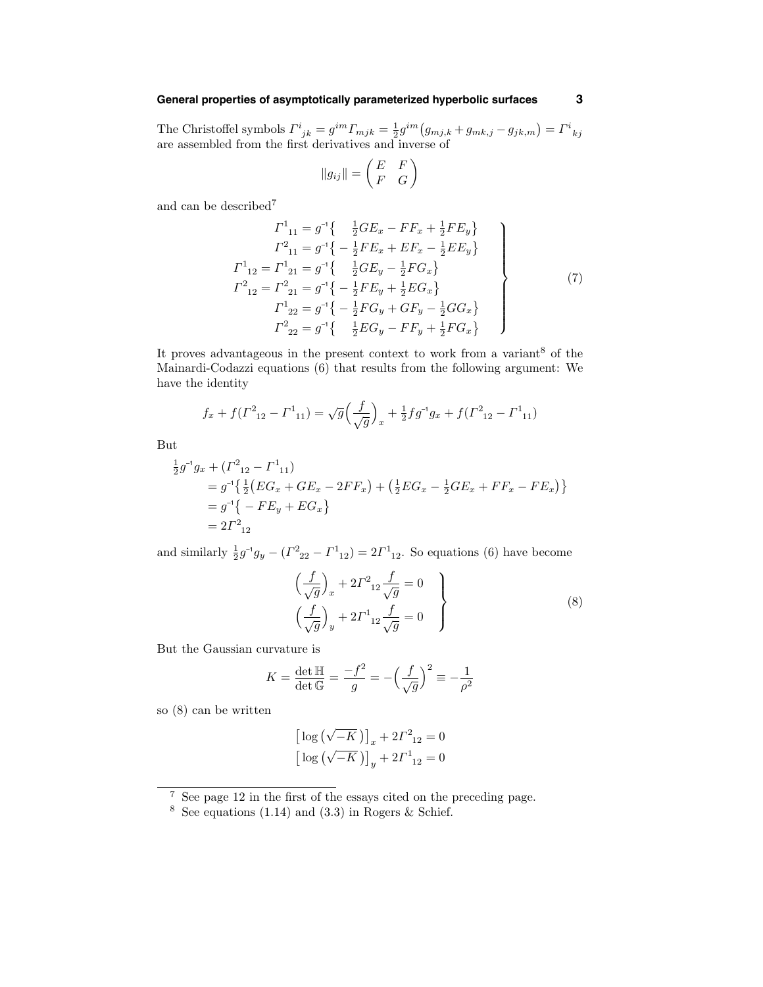# **General properties of asymptotically parameterized hyperbolic surfaces 3**

The Christoffel symbols  $\Gamma^i_{jk} = g^{im} \Gamma_{mjk} = \frac{1}{2} g^{im} (g_{mj,k} + g_{mk,j} - g_{jk,m}) = \Gamma^i_{kj}$  are assembled from the first derivatives and inverse of

$$
||g_{ij}|| = \begin{pmatrix} E & F \\ F & G \end{pmatrix}
$$

and can be described<sup>7</sup>

$$
\Gamma^{1}_{11} = g^{-1} \left\{ \begin{array}{c} \frac{1}{2}GE_x - FF_x + \frac{1}{2}FE_y \} \\ \Gamma^{2}_{11} = g^{-1} \left\{ -\frac{1}{2}FE_x + EF_x - \frac{1}{2}EE_y \right\} \\ \Gamma^{1}_{12} = \Gamma^{1}_{21} = g^{-1} \left\{ \begin{array}{c} \frac{1}{2}GE_y - \frac{1}{2}FG_x \end{array} \right\} \\ \Gamma^{2}_{12} = \Gamma^{2}_{21} = g^{-1} \left\{ -\frac{1}{2}FE_y + \frac{1}{2}EG_x \right\} \\ \Gamma^{1}_{22} = g^{-1} \left\{ -\frac{1}{2}FG_y + GF_y - \frac{1}{2}GG_x \right\} \\ \Gamma^{2}_{22} = g^{-1} \left\{ \begin{array}{c} \frac{1}{2}EG_y - FF_y + \frac{1}{2}FG_x \end{array} \right\} \end{array} \tag{7}
$$

It proves advantageous in the present context to work from a variant  $^8$  of the Mainardi-Codazzi equations (6) that results from the following argument: We have the identity

$$
f_x + f(\Gamma^2_{12} - \Gamma^1_{11}) = \sqrt{g} \left(\frac{f}{\sqrt{g}}\right)_x + \frac{1}{2} f g^{-1} g_x + f(\Gamma^2_{12} - \Gamma^1_{11})
$$

But

$$
\frac{1}{2}g^{-1}g_x + (\Gamma^2_{12} - \Gamma^1_{11})
$$
\n
$$
= g^{-1}\left\{\frac{1}{2}(EG_x + GE_x - 2FF_x) + \left(\frac{1}{2}EG_x - \frac{1}{2}GE_x + FF_x - FE_x\right)\right\}
$$
\n
$$
= g^{-1}\left\{-FE_y + EG_x\right\}
$$
\n
$$
= 2\Gamma^2_{12}
$$

and similarly  $\frac{1}{2}g^{-1}g_y - (\Gamma^2_{22} - \Gamma^1_{12}) = 2\Gamma^1_{12}$ . So equations (6) have become

$$
\left(\frac{f}{\sqrt{g}}\right)_x + 2\Gamma^2_{12}\frac{f}{\sqrt{g}} = 0
$$
\n
$$
\left(\frac{f}{\sqrt{g}}\right)_y + 2\Gamma^1_{12}\frac{f}{\sqrt{g}} = 0
$$
\n(8)

But the Gaussian curvature is

$$
K = \frac{\det \mathbb{H}}{\det \mathbb{G}} = \frac{-f^2}{g} = -\left(\frac{f}{\sqrt{g}}\right)^2 \equiv -\frac{1}{\rho^2}
$$

so (8) can be written

$$
\left[\log\left(\sqrt{-K}\,\right)\right]_x + 2\Gamma^2_{12} = 0
$$
  

$$
\left[\log\left(\sqrt{-K}\,\right)\right]_y + 2\Gamma^1_{12} = 0
$$

<sup>7</sup> See page 12 in the first of the essays cited on the preceding page.

 $8 \text{ See equations } (1.14) \text{ and } (3.3) \text{ in Rogers } \& \text{ Schief.}$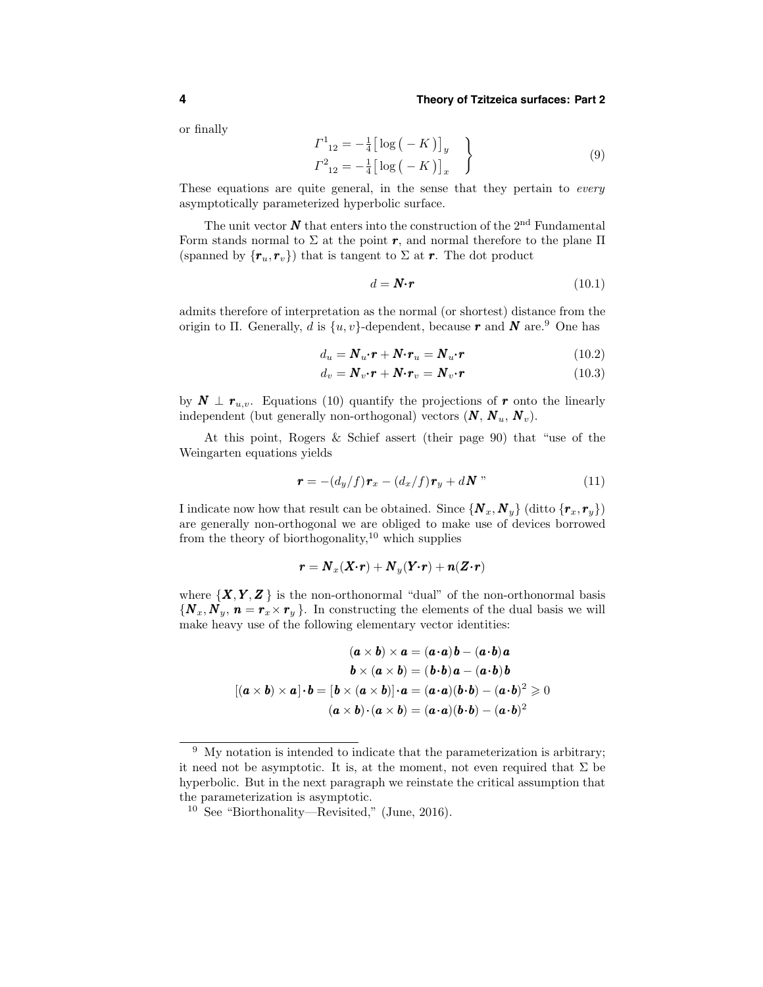or finally

$$
\begin{aligned}\n\Gamma^{1}_{12} &= -\frac{1}{4} \left[ \log \left( -K \right) \right]_{y} \\
\Gamma^{2}_{12} &= -\frac{1}{4} \left[ \log \left( -K \right) \right]_{x}\n\end{aligned}
$$
\n
$$
(9)
$$

These equations are quite general, in the sense that they pertain to *every* asymptotically parameterized hyperbolic surface.

The unit vector  $N$  that enters into the construction of the  $2<sup>nd</sup>$  Fundamental Form stands normal to  $\Sigma$  at the point r, and normal therefore to the plane  $\Pi$ (spanned by  $\{\boldsymbol{r}_u, \boldsymbol{r}_v\}$ ) that is tangent to  $\Sigma$  at  $\boldsymbol{r}$ . The dot product

$$
d = \mathbf{N} \cdot \mathbf{r} \tag{10.1}
$$

admits therefore of interpretation as the normal (or shortest) distance from the origin to Π. Generally, d is  $\{u, v\}$ -dependent, because r and N are.<sup>9</sup> One has

$$
d_u = \mathbf{N}_u \cdot \mathbf{r} + \mathbf{N} \cdot \mathbf{r}_u = \mathbf{N}_u \cdot \mathbf{r}
$$
 (10.2)

$$
d_v = \mathbf{N}_v \cdot \mathbf{r} + \mathbf{N} \cdot \mathbf{r}_v = \mathbf{N}_v \cdot \mathbf{r}
$$
 (10.3)

by  $N \perp r_{u,v}$ . Equations (10) quantify the projections of r onto the linearly independent (but generally non-orthogonal) vectors  $(N, N_u, N_v)$ .

At this point, Rogers & Schief assert (their page 90) that "use of the Weingarten equations yields

$$
\boldsymbol{r} = -(d_y/f)\boldsymbol{r}_x - (d_x/f)\boldsymbol{r}_y + d\boldsymbol{N} \tag{11}
$$

I indicate now how that result can be obtained. Since  $\{N_x, N_y\}$  (ditto  $\{r_x, r_y\}$ ) are generally non-orthogonal we are obliged to make use of devices borrowed from the theory of biorthogonality,<sup>10</sup> which supplies

$$
\boldsymbol{r} = \boldsymbol{N}_x(\boldsymbol{X}{\boldsymbol{\cdot}}\boldsymbol{r}) + \boldsymbol{N}_y(\boldsymbol{Y}{\boldsymbol{\cdot}}\boldsymbol{r}) + \boldsymbol{n}(\boldsymbol{Z}{\boldsymbol{\cdot}}\boldsymbol{r})
$$

where  $\{X, Y, Z\}$  is the non-orthonormal "dual" of the non-orthonormal basis  ${\bf \{N}_x, N_y, n = r_x \times r_y\}$ . In constructing the elements of the dual basis we will make heavy use of the following elementary vector identities:

$$
(\mathbf{a} \times \mathbf{b}) \times \mathbf{a} = (\mathbf{a} \cdot \mathbf{a})\mathbf{b} - (\mathbf{a} \cdot \mathbf{b})\mathbf{a}
$$

$$
\mathbf{b} \times (\mathbf{a} \times \mathbf{b}) = (\mathbf{b} \cdot \mathbf{b})\mathbf{a} - (\mathbf{a} \cdot \mathbf{b})\mathbf{b}
$$

$$
[(\mathbf{a} \times \mathbf{b}) \times \mathbf{a}] \cdot \mathbf{b} = [\mathbf{b} \times (\mathbf{a} \times \mathbf{b})] \cdot \mathbf{a} = (\mathbf{a} \cdot \mathbf{a})(\mathbf{b} \cdot \mathbf{b}) - (\mathbf{a} \cdot \mathbf{b})^2 \ge 0
$$

$$
(\mathbf{a} \times \mathbf{b}) \cdot (\mathbf{a} \times \mathbf{b}) = (\mathbf{a} \cdot \mathbf{a})(\mathbf{b} \cdot \mathbf{b}) - (\mathbf{a} \cdot \mathbf{b})^2
$$

<sup>&</sup>lt;sup>9</sup> My notation is intended to indicate that the parameterization is arbitrary; it need not be asymptotic. It is, at the moment, not even required that  $\Sigma$  be hyperbolic. But in the next paragraph we reinstate the critical assumption that the parameterization is asymptotic.

<sup>10</sup> See "Biorthonality—Revisited," (June, 2016).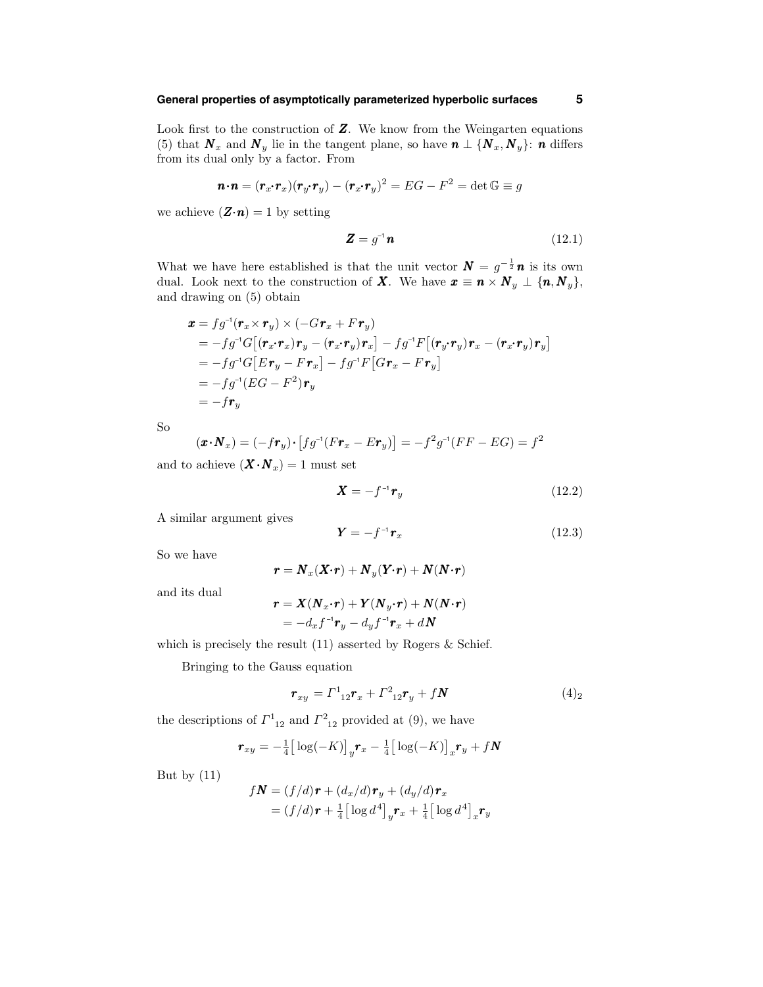# **General properties of asymptotically parameterized hyperbolic surfaces 5**

Look first to the construction of  $Z$ . We know from the Weingarten equations (5) that  $N_x$  and  $N_y$  lie in the tangent plane, so have  $n \perp \{N_x, N_y\}$ : n differs from its dual only by a factor. From

$$
\boldsymbol{n} \cdot \boldsymbol{n} = (\boldsymbol{r}_x \cdot \boldsymbol{r}_x)(\boldsymbol{r}_y \cdot \boldsymbol{r}_y) - (\boldsymbol{r}_x \cdot \boldsymbol{r}_y)^2 = EG - F^2 = \det \mathbb{G} \equiv g
$$

we achieve  $(\mathbf{Z} \cdot \mathbf{n}) = 1$  by setting

$$
\mathbf{Z} = g^{-1} \mathbf{n} \tag{12.1}
$$

What we have here established is that the unit vector  $N = g^{-\frac{1}{2}}n$  is its own dual. Look next to the construction of X. We have  $x \equiv n \times N_y \perp \{n, N_y\},\$ and drawing on (5) obtain

$$
\mathbf{x} = fg^{-1}(\mathbf{r}_x \times \mathbf{r}_y) \times (-G\mathbf{r}_x + F\mathbf{r}_y)
$$
  
\n
$$
= -fg^{-1}G[(\mathbf{r}_x \cdot \mathbf{r}_x)\mathbf{r}_y - (\mathbf{r}_x \cdot \mathbf{r}_y)\mathbf{r}_x] - fg^{-1}F[(\mathbf{r}_y \cdot \mathbf{r}_y)\mathbf{r}_x - (\mathbf{r}_x \cdot \mathbf{r}_y)\mathbf{r}_y]
$$
  
\n
$$
= -fg^{-1}G[Er_y - Fr_x] - fg^{-1}F[G\mathbf{r}_x - Fr_y]
$$
  
\n
$$
= -fg^{-1}(EG - F^2)\mathbf{r}_y
$$
  
\n
$$
= -f\mathbf{r}_y
$$

So

$$
(\boldsymbol{x} \cdot \boldsymbol{N}_x) = (-f\boldsymbol{r}_y) \cdot [f g^{-1}(F\boldsymbol{r}_x - E\boldsymbol{r}_y)] = -f^2 g^{-1}(FF - EG) = f^2
$$

and to achieve  $(\boldsymbol{X} \cdot \boldsymbol{N}_x) = 1$  must set

$$
\mathbf{X} = -f^{-1}\mathbf{r}_y \tag{12.2}
$$

A similar argument gives

$$
\boldsymbol{Y} = -f^{-1}\boldsymbol{r}_x \tag{12.3}
$$

So we have

$$
\boldsymbol{r} = \boldsymbol{N}_x(\boldsymbol{X}{\boldsymbol{\cdot}}\boldsymbol{r}) + \boldsymbol{N}_y(\boldsymbol{Y}{\boldsymbol{\cdot}}\boldsymbol{r}) + \boldsymbol{N}(\boldsymbol{N}{\boldsymbol{\cdot}}\boldsymbol{r})
$$

and its dual

$$
\mathbf{r} = \mathbf{X}(\mathbf{N}_x \cdot \mathbf{r}) + \mathbf{Y}(\mathbf{N}_y \cdot \mathbf{r}) + \mathbf{N}(\mathbf{N} \cdot \mathbf{r})
$$
  
= 
$$
-d_x f^{-1} \mathbf{r}_y - d_y f^{-1} \mathbf{r}_x + d\mathbf{N}
$$

which is precisely the result (11) asserted by Rogers & Schief.

Bringing to the Gauss equation

$$
\boldsymbol{r}_{xy} = \Gamma^1_{12}\boldsymbol{r}_x + \Gamma^2_{12}\boldsymbol{r}_y + f\boldsymbol{N} \tag{4}_2
$$

the descriptions of  $\Gamma^1_{12}$  and  $\Gamma^2_{12}$  provided at (9), we have

$$
\boldsymbol{r}_{xy}=-\tfrac{1}{4}\big[\log(-K)\big]_{y}\boldsymbol{r}_{x}-\tfrac{1}{4}\big[\log(-K)\big]_{x}\boldsymbol{r}_{y}+f\boldsymbol{N}
$$

But by (11)

$$
f\mathbf{N} = (f/d)\mathbf{r} + (d_x/d)\mathbf{r}_y + (d_y/d)\mathbf{r}_x
$$
  
=  $(f/d)\mathbf{r} + \frac{1}{4} \left[\log d^4\right]_y \mathbf{r}_x + \frac{1}{4} \left[\log d^4\right]_x \mathbf{r}_y$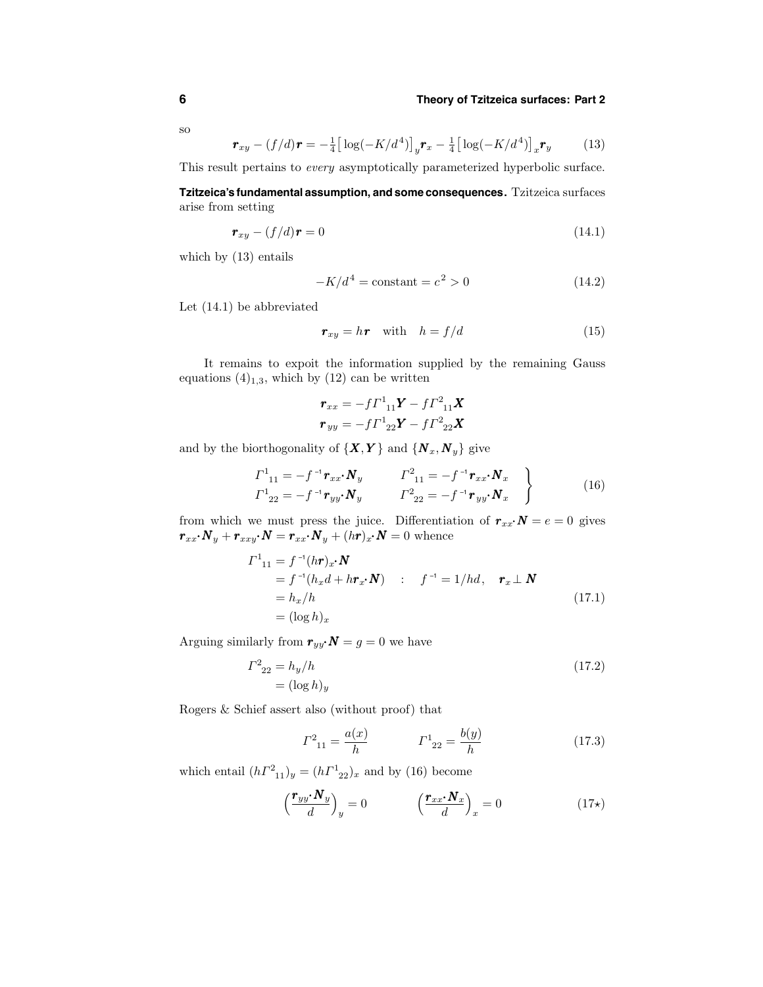so

$$
\boldsymbol{r}_{xy} - (f/d)\boldsymbol{r} = -\frac{1}{4} \big[ \log(-K/d^4) \big]_y \boldsymbol{r}_x - \frac{1}{4} \big[ \log(-K/d^4) \big]_x \boldsymbol{r}_y \tag{13}
$$

This result pertains to every asymptotically parameterized hyperbolic surface.

**Tzitzeica's fundamental assumption, and some consequences.** Tzitzeica surfaces arise from setting

$$
\boldsymbol{r}_{xy} - (f/d)\boldsymbol{r} = 0 \tag{14.1}
$$

which by (13) entails

$$
-K/d^4 = \text{constant} = c^2 > 0\tag{14.2}
$$

Let (14.1) be abbreviated

$$
\boldsymbol{r}_{xy} = h\boldsymbol{r} \quad \text{with} \quad h = f/d \tag{15}
$$

It remains to expoit the information supplied by the remaining Gauss equations  $(4)_{1,3}$ , which by  $(12)$  can be written

$$
\boldsymbol{r}_{xx} = -f\boldsymbol{\varGamma}_{11}^{1}\boldsymbol{Y} - f\boldsymbol{\varGamma}_{11}^{2}\boldsymbol{X}
$$

$$
\boldsymbol{r}_{yy} = -f\boldsymbol{\varGamma}_{22}^{1}\boldsymbol{Y} - f\boldsymbol{\varGamma}_{22}^{2}\boldsymbol{X}
$$

and by the biorthogonality of  $\{X, Y\}$  and  $\{N_x, N_y\}$  give

$$
\left.\begin{array}{ll}\n\Gamma^1{}_{11} = -f^{-1}\mathbf{r}_{xx} \cdot \mathbf{N}_y & \Gamma^2{}_{11} = -f^{-1}\mathbf{r}_{xx} \cdot \mathbf{N}_x \\
\Gamma^1{}_{22} = -f^{-1}\mathbf{r}_{yy} \cdot \mathbf{N}_y & \Gamma^2{}_{22} = -f^{-1}\mathbf{r}_{yy} \cdot \mathbf{N}_x\n\end{array}\right\}\n\tag{16}
$$

from which we must press the juice. Differentiation of  $r_{xx} \cdot N = e = 0$  gives  $\pmb{r}_{xx}\!\cdot\!\pmb{N}_y+\pmb{r}_{xxy}\!\cdot\!\pmb{N}=\pmb{r}_{xx}\!\cdot\!\pmb{N}_y+(h\pmb{r})_x\!\cdot\!\pmb{N}=0$  whence

$$
\Gamma^{1}_{11} = f^{-1}(h\mathbf{r})x \cdot \mathbf{N}
$$
  
\n
$$
= f^{-1}(h_x d + h\mathbf{r}_x \cdot \mathbf{N}) \quad : \quad f^{-1} = 1/hd, \quad \mathbf{r}_x \perp \mathbf{N}
$$
  
\n
$$
= h_x/h
$$
  
\n
$$
= (\log h)_x
$$
\n(17.1)

Arguing similarly from  $r_{yy} \cdot N = g = 0$  we have

$$
I^{2}_{22} = h_y/h
$$
  
=  $(\log h)_y$  (17.2)

Rogers & Schief assert also (without proof) that

$$
\Gamma^2_{11} = \frac{a(x)}{h} \qquad \qquad \Gamma^1_{22} = \frac{b(y)}{h} \tag{17.3}
$$

which entail  $(h\Gamma^2_{11})_y = (h\Gamma^1_{22})_x$  and by (16) become

$$
\left(\frac{\boldsymbol{r}_{yy} \cdot \boldsymbol{N}_{y}}{d}\right)_{y} = 0 \qquad \left(\frac{\boldsymbol{r}_{xx} \cdot \boldsymbol{N}_{x}}{d}\right)_{x} = 0 \qquad (17\star)
$$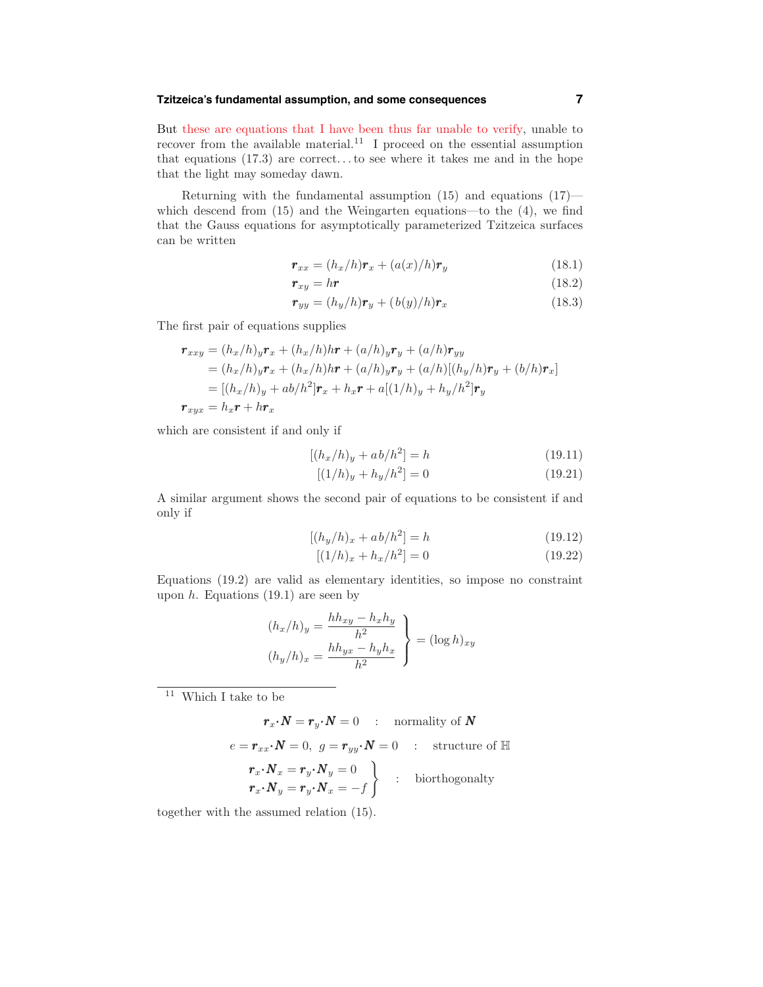### **Tzitzeica's fundamental assumption, and some consequences 7**

But these are equations that I have been thus far unable to verify, unable to recover from the available material.<sup>11</sup> I proceed on the essential assumption that equations  $(17.3)$  are correct...to see where it takes me and in the hope that the light may someday dawn.

Returning with the fundamental assumption  $(15)$  and equations  $(17)$  which descend from (15) and the Weingarten equations—to the (4), we find that the Gauss equations for asymptotically parameterized Tzitzeica surfaces can be written

$$
\boldsymbol{r}_{xx} = (h_x/h)\boldsymbol{r}_x + (a(x)/h)\boldsymbol{r}_y \tag{18.1}
$$

$$
r_{xy} = h\mathbf{r} \tag{18.2}
$$

$$
\boldsymbol{r}_{yy} = (h_y/h)\boldsymbol{r}_y + (b(y)/h)\boldsymbol{r}_x \tag{18.3}
$$

The first pair of equations supplies

$$
\begin{aligned}\n\mathbf{r}_{xxy} &= (h_x/h)_y \mathbf{r}_x + (h_x/h)h\mathbf{r} + (a/h)_y \mathbf{r}_y + (a/h) \mathbf{r}_{yy} \\
&= (h_x/h)_y \mathbf{r}_x + (h_x/h)h\mathbf{r} + (a/h)_y \mathbf{r}_y + (a/h)[(h_y/h)\mathbf{r}_y + (b/h)\mathbf{r}_x] \\
&= [(h_x/h)_y + ab/h^2] \mathbf{r}_x + h_x \mathbf{r} + a[(1/h)_y + h_y/h^2] \mathbf{r}_y \\
\mathbf{r}_{xyx} &= h_x \mathbf{r} + h\mathbf{r}_x\n\end{aligned}
$$

which are consistent if and only if

$$
[(h_x/h)_y + ab/h^2] = h \tag{19.11}
$$

$$
[(1/h)_y + h_y/h^2] = 0
$$
\n(19.21)

A similar argument shows the second pair of equations to be consistent if and only if

$$
[(h_y/h)_x + ab/h^2] = h \tag{19.12}
$$

$$
[(1/h)_x + h_x/h^2] = 0
$$
\n(19.22)

Equations (19.2) are valid as elementary identities, so impose no constraint upon  $h$ . Equations (19.1) are seen by

$$
(h_x/h)_y = \frac{hh_{xy} - h_xh_y}{h^2}
$$

$$
(h_y/h)_x = \frac{hh_{yx} - h_yh_x}{h^2}
$$
 
$$
\left(\log h\right)_{xy}
$$

 $^\mathrm{11}$  Which I take to be

$$
\boldsymbol{r}_x \boldsymbol{\cdot} \boldsymbol{N} = \boldsymbol{r}_y \boldsymbol{\cdot} \boldsymbol{N} = 0 \quad : \quad \text{normality of } \boldsymbol{N}
$$

$$
e = \boldsymbol{r}_{xx} \cdot \boldsymbol{N} = 0, \ g = \boldsymbol{r}_{yy} \cdot \boldsymbol{N} = 0 \quad : \quad \text{structure of } \mathbb{H}
$$
\n
$$
\begin{aligned}\n\boldsymbol{r}_x \cdot \boldsymbol{N}_x &= \boldsymbol{r}_y \cdot \boldsymbol{N}_y = 0 \\
\boldsymbol{r}_x \cdot \boldsymbol{N}_y &= \boldsymbol{r}_y \cdot \boldsymbol{N}_x = -f\n\end{aligned}\n\bigg\} \quad : \quad \text{biorthogonality}
$$

together with the assumed relation (15).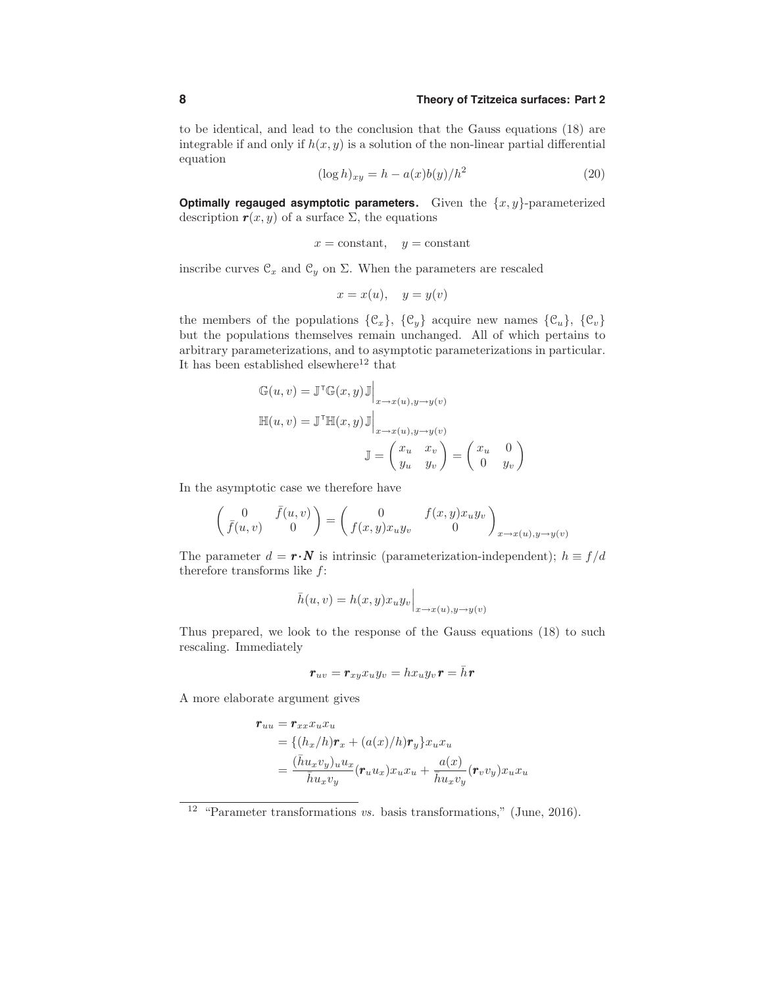to be identical, and lead to the conclusion that the Gauss equations (18) are integrable if and only if  $h(x, y)$  is a solution of the non-linear partial differential equation

$$
(\log h)_{xy} = h - a(x)b(y)/h^2 \tag{20}
$$

**Optimally regauged asymptotic parameters.** Given the  $\{x, y\}$ -parameterized description  $r(x, y)$  of a surface  $\Sigma$ , the equations

$$
x = \text{constant}, y = \text{constant}
$$

inscribe curves  $\mathcal{C}_x$  and  $\mathcal{C}_y$  on  $\Sigma$ . When the parameters are rescaled

$$
x = x(u), \quad y = y(v)
$$

the members of the populations  $\{\mathcal{C}_x\}$ ,  $\{\mathcal{C}_y\}$  acquire new names  $\{\mathcal{C}_u\}$ ,  $\{\mathcal{C}_v\}$ but the populations themselves remain unchanged. All of which pertains to arbitrary parameterizations, and to asymptotic parameterizations in particular. It has been established elsewhere<sup>12</sup> that

$$
\begin{aligned} \mathbb{G}(u,v) &= \mathbb{J}^\mathsf{T} \mathbb{G}(x,y) \mathbb{J} \Big|_{x \to x(u), y \to y(v)} \\ \mathbb{H}(u,v) &= \mathbb{J}^\mathsf{T} \mathbb{H}(x,y) \mathbb{J} \Big|_{x \to x(u), y \to y(v)} \\ \mathbb{J} &= \begin{pmatrix} x_u & x_v \\ y_u & y_v \end{pmatrix} = \begin{pmatrix} x_u & 0 \\ 0 & y_v \end{pmatrix} \end{aligned}
$$

In the asymptotic case we therefore have

$$
\left(\begin{array}{cc}0&\bar f(u,v)\\ \bar f(u,v)&0\end{array}\right)=\left(\begin{array}{cc}0&f(x,y)x_uy_v\\ f(x,y)x_uy_v&0\end{array}\right)_{x\to x(u),y\to y(v)}
$$

The parameter  $d = \mathbf{r} \cdot \mathbf{N}$  is intrinsic (parameterization-independent);  $h \equiv f/d$ therefore transforms like  $f$ :

$$
\bar{h}(u,v) = h(x,y)x_u y_v\Big|_{x \to x(u), y \to y(v)}
$$

Thus prepared, we look to the response of the Gauss equations (18) to such rescaling. Immediately

$$
\bm{r}_{uv}=\bm{r}_{xy}x_{u}y_{v}=hx_{u}y_{v}\bm{r}=\bar{h}\bm{r}
$$

A more elaborate argument gives

$$
\begin{aligned} \mathbf{r}_{uu} &= \mathbf{r}_{xx} x_u x_u \\ &= \{ (h_x/h)\mathbf{r}_x + (a(x)/h)\mathbf{r}_y \} x_u x_u \\ &= \frac{(\bar{h} u_x v_y)_u u_x}{\bar{h} u_x v_y} (\mathbf{r}_u u_x) x_u x_u + \frac{a(x)}{\bar{h} u_x v_y} (\mathbf{r}_v v_y) x_u x_u \end{aligned}
$$

<sup>&</sup>lt;sup>12</sup> "Parameter transformations *vs.* basis transformations," (June, 2016).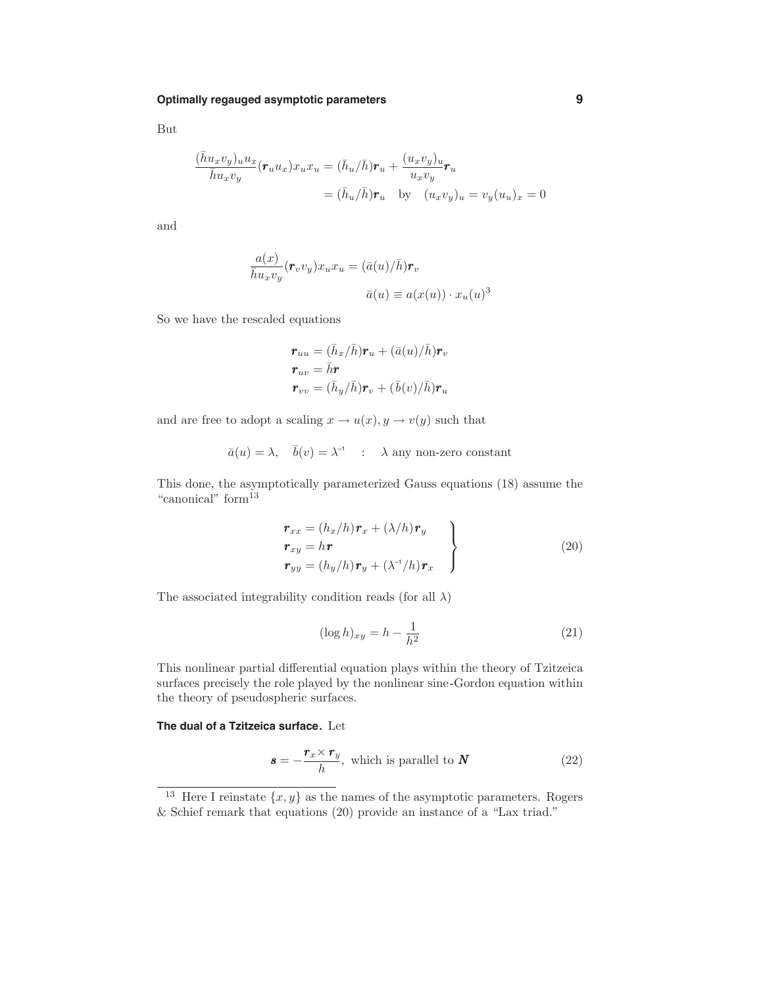But

$$
\frac{(\bar{h}u_xv_y)_uu_x}{\bar{h}u_xv_y}(\mathbf{r}_uu_x)x_ux_u = (\bar{h}_u/\bar{h})\mathbf{r}_u + \frac{(u_xv_y)_u}{u_xv_y}\mathbf{r}_u
$$

$$
= (\bar{h}_u/\bar{h})\mathbf{r}_u \quad \text{by} \quad (u_xv_y)_u = v_y(u_u)_x = 0
$$

and

$$
\frac{a(x)}{\bar{h}u_xv_y}(\boldsymbol{r}_v v_y)x_ux_u = (\bar{a}(u)/\bar{h})\boldsymbol{r}_v
$$

$$
\bar{a}(u) \equiv a(x(u)) \cdot x_u(u)^3
$$

So we have the rescaled equations

$$
\begin{aligned} \boldsymbol{r}_{uu} &= (\bar{h}_x/\bar{h})\boldsymbol{r}_u + (\bar{a}(u)/\bar{h})\boldsymbol{r}_v \\ \boldsymbol{r}_{uv} &= \bar{h}\boldsymbol{r} \\ \boldsymbol{r}_{vv} &= (\bar{h}_y/\bar{h})\boldsymbol{r}_v + (\bar{b}(v)/\bar{h})\boldsymbol{r}_u \end{aligned}
$$

and are free to adopt a scaling  $x \to u(x), y \to v(y)$  such that

$$
\bar{a}(u) = \lambda, \quad \bar{b}(v) = \lambda^{-1} \quad : \quad \lambda \text{ any non-zero constant}
$$

This done, the asymptotically parameterized Gauss equations (18) assume the "canonical" form<sup>13</sup>

$$
\begin{aligned}\n\mathbf{r}_{xx} &= (h_x/h)\mathbf{r}_x + (\lambda/h)\mathbf{r}_y \\
\mathbf{r}_{xy} &= h\mathbf{r} \\
\mathbf{r}_{yy} &= (h_y/h)\mathbf{r}_y + (\lambda^{-1}/h)\mathbf{r}_x\n\end{aligned}\n\tag{20}
$$

The associated integrability condition reads (for all  $\lambda$ )

$$
(\log h)_{xy} = h - \frac{1}{h^2} \tag{21}
$$

This nonlinear partial differential equation plays within the theory of Tzitzeica surfaces precisely the role played by the nonlinear sine-Gordon equation within the theory of pseudospheric surfaces.

**The dual of a Tzitzeica surface.** Let

$$
\mathbf{s} = -\frac{\mathbf{r}_x \times \mathbf{r}_y}{h}, \text{ which is parallel to } \mathbf{N} \tag{22}
$$

<sup>&</sup>lt;sup>13</sup> Here I reinstate  $\{x, y\}$  as the names of the asymptotic parameters. Rogers & Schief remark that equations (20) provide an instance of a "Lax triad."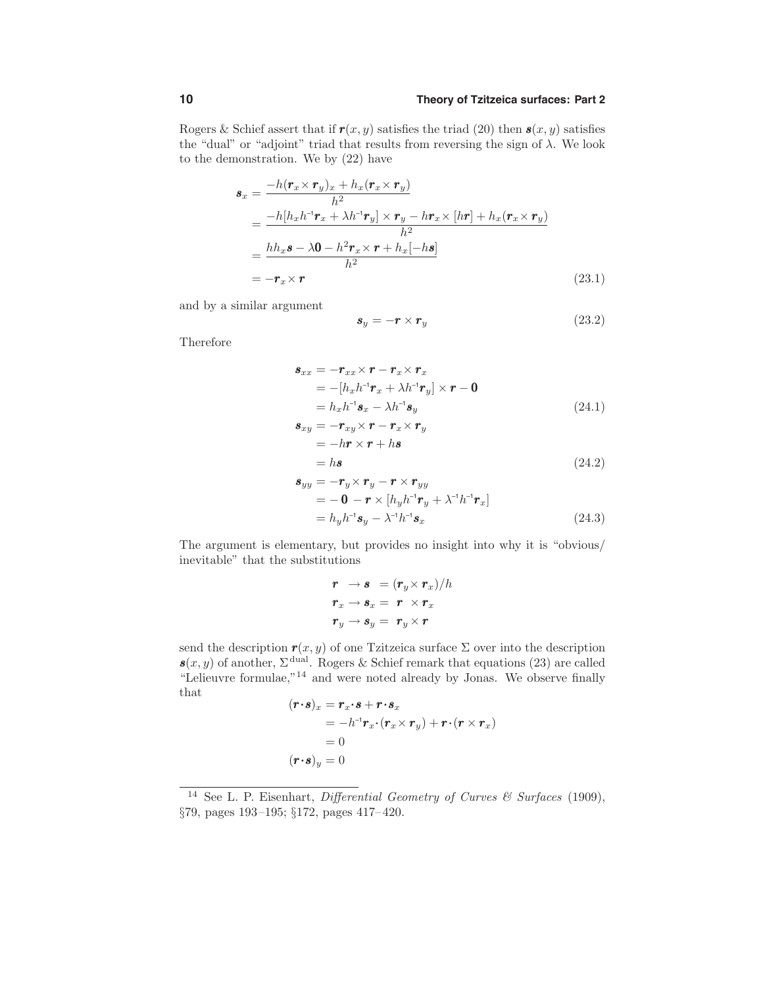Rogers & Schief assert that if  $r(x, y)$  satisfies the triad (20) then  $s(x, y)$  satisfies the "dual" or "adjoint" triad that results from reversing the sign of  $\lambda$ . We look to the demonstration. We by (22) have

$$
\mathbf{s}_{x} = \frac{-h(\mathbf{r}_{x} \times \mathbf{r}_{y})_{x} + h_{x}(\mathbf{r}_{x} \times \mathbf{r}_{y})}{h^{2}}
$$
\n
$$
= \frac{-h[h_{x}h^{-1}\mathbf{r}_{x} + \lambda h^{-1}\mathbf{r}_{y}] \times \mathbf{r}_{y} - h\mathbf{r}_{x} \times [h\mathbf{r}] + h_{x}(\mathbf{r}_{x} \times \mathbf{r}_{y})}{h^{2}}
$$
\n
$$
= \frac{hh_{x}\mathbf{s} - \lambda \mathbf{0} - h^{2}\mathbf{r}_{x} \times \mathbf{r} + h_{x}[-h\mathbf{s}]}{h^{2}}
$$
\n
$$
= -\mathbf{r}_{x} \times \mathbf{r}
$$
\n(23.1)

and by a similar argument

$$
\mathbf{s}_y = -\mathbf{r} \times \mathbf{r}_y \tag{23.2}
$$

Therefore

$$
\mathbf{s}_{xx} = -\mathbf{r}_{xx} \times \mathbf{r} - \mathbf{r}_x \times \mathbf{r}_x
$$
  
= -[h\_x h^{-1} \mathbf{r}\_x + \lambda h^{-1} \mathbf{r}\_y] \times \mathbf{r} - \mathbf{0}  
= h\_x h^{-1} \mathbf{s}\_x - \lambda h^{-1} \mathbf{s}\_y(24.1)

$$
\begin{aligned} \mathbf{s}_{xy} &= -\mathbf{r}_{xy} \times \mathbf{r} - \mathbf{r}_x \times \mathbf{r}_y \\ &= -h\mathbf{r} \times \mathbf{r} + h\mathbf{s} \\ &= h\mathbf{s} \end{aligned} \tag{24.2}
$$

$$
\mathbf{s}_{yy} = -\mathbf{r}_y \times \mathbf{r}_y - \mathbf{r} \times \mathbf{r}_{yy} \n= -\mathbf{0} - \mathbf{r} \times [h_y h^{-1} \mathbf{r}_y + \lambda^{-1} h^{-1} \mathbf{r}_x] \n= h_y h^{-1} \mathbf{s}_y - \lambda^{-1} h^{-1} \mathbf{s}_x
$$
\n(24.3)

The argument is elementary, but provides no insight into why it is "obvious/ inevitable" that the substitutions

$$
\begin{aligned}\n\boldsymbol{r} &\rightarrow \boldsymbol{s} &= (\boldsymbol{r}_y \times \boldsymbol{r}_x)/h \\
\boldsymbol{r}_x &\rightarrow \boldsymbol{s}_x = \boldsymbol{r} \times \boldsymbol{r}_x \\
\boldsymbol{r}_y &\rightarrow \boldsymbol{s}_y = \boldsymbol{r}_y \times \boldsymbol{r}\n\end{aligned}
$$

send the description  $\mathbf{r}(x, y)$  of one Tzitzeica surface  $\Sigma$  over into the description  $s(x, y)$  of another,  $\Sigma^{\text{dual}}$ . Rogers & Schief remark that equations (23) are called "Lelieuvre formulae,"<sup>14</sup> and were noted already by Jonas. We observe finally that

$$
(\mathbf{r} \cdot \mathbf{s})_x = \mathbf{r}_x \cdot \mathbf{s} + \mathbf{r} \cdot \mathbf{s}_x
$$
  
=  $-h^{-1} \mathbf{r}_x \cdot (\mathbf{r}_x \times \mathbf{r}_y) + \mathbf{r} \cdot (\mathbf{r} \times \mathbf{r}_x)$   
= 0  
 $(\mathbf{r} \cdot \mathbf{s})_y = 0$ 

<sup>&</sup>lt;sup>14</sup> See L. P. Eisenhart, *Differential Geometry of Curves & Surfaces* (1909), §79, pages 193–195; §172, pages 417–420.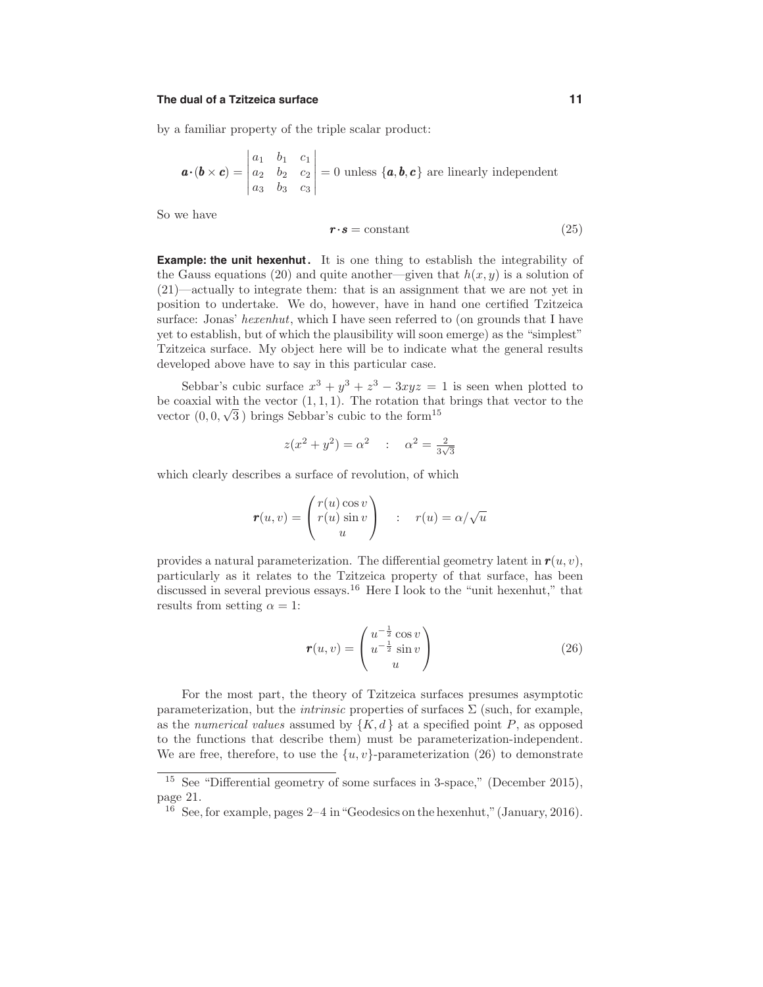#### **The dual of a Tzitzeica surface 11**

by a familiar property of the triple scalar product:

$$
\mathbf{a} \cdot (\mathbf{b} \times \mathbf{c}) = \begin{vmatrix} a_1 & b_1 & c_1 \\ a_2 & b_2 & c_2 \\ a_3 & b_3 & c_3 \end{vmatrix} = 0 \text{ unless } \{\mathbf{a}, \mathbf{b}, \mathbf{c}\} \text{ are linearly independent}
$$

So we have

$$
r \cdot s = \text{constant} \tag{25}
$$

**Example: the unit hexenhut.** It is one thing to establish the integrability of the Gauss equations (20) and quite another—given that  $h(x, y)$  is a solution of (21)—actually to integrate them: that is an assignment that we are not yet in position to undertake. We do, however, have in hand one certified Tzitzeica surface: Jonas' hexenhut, which I have seen referred to (on grounds that I have yet to establish, but of which the plausibility will soon emerge) as the "simplest" Tzitzeica surface. My object here will be to indicate what the general results developed above have to say in this particular case.

Sebbar's cubic surface  $x^3 + y^3 + z^3 - 3xyz = 1$  is seen when plotted to be coaxial with the vector  $(1, 1, 1)$ . The rotation that brings that vector to the vector  $(0, 0, \sqrt{3})$  brings Sebbar's cubic to the form<sup>15</sup>

$$
z(x^2 + y^2) = \alpha^2
$$
 :  $\alpha^2 = \frac{2}{3\sqrt{3}}$ 

which clearly describes a surface of revolution, of which

$$
\boldsymbol{r}(u,v) = \begin{pmatrix} r(u)\cos v \\ r(u)\sin v \\ u \end{pmatrix} : r(u) = \alpha/\sqrt{u}
$$

provides a natural parameterization. The differential geometry latent in  $r(u, v)$ , particularly as it relates to the Tzitzeica property of that surface, has been discussed in several previous essays.<sup>16</sup> Here I look to the "unit hexenhut," that results from setting  $\alpha = 1$ :

$$
\mathbf{r}(u,v) = \begin{pmatrix} u^{-\frac{1}{2}}\cos v \\ u^{-\frac{1}{2}}\sin v \\ u \end{pmatrix}
$$
 (26)

For the most part, the theory of Tzitzeica surfaces presumes asymptotic parameterization, but the *intrinsic* properties of surfaces  $\Sigma$  (such, for example, as the numerical values assumed by  $\{K, d\}$  at a specified point P, as opposed to the functions that describe them) must be parameterization-independent. We are free, therefore, to use the  $\{u, v\}$ -parameterization (26) to demonstrate

<sup>&</sup>lt;sup>15</sup> See "Differential geometry of some surfaces in 3-space," (December 2015), page 21.

 $16$  See, for example, pages  $2-4$  in "Geodesics on the hexenhut," (January, 2016).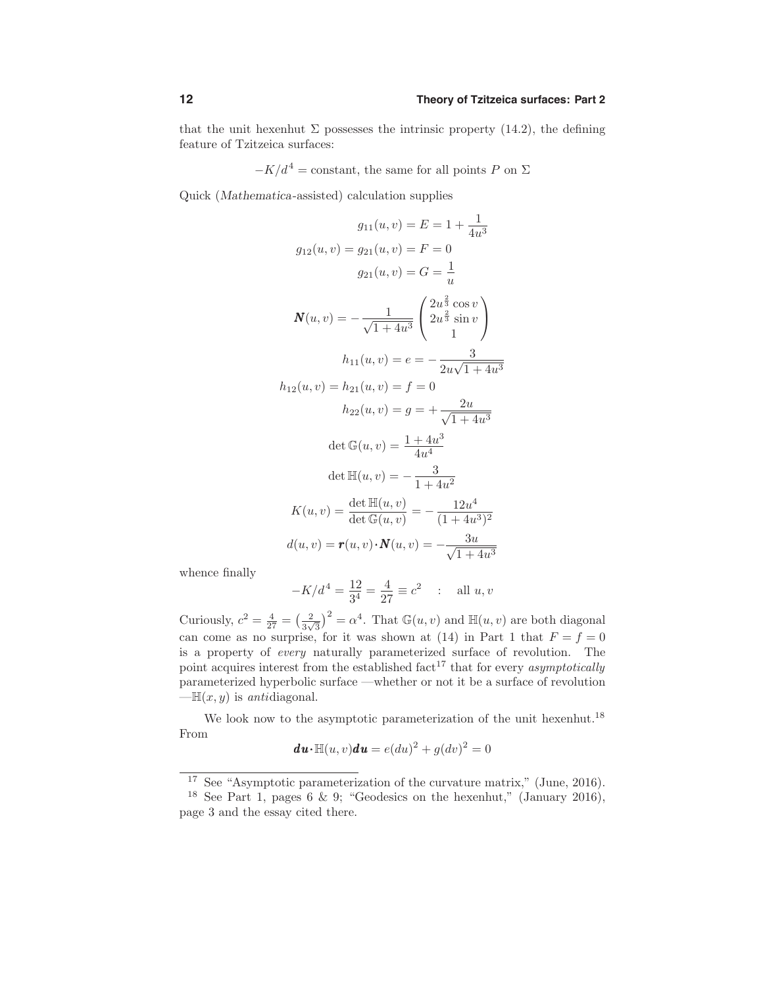that the unit hexenhut  $\Sigma$  possesses the intrinsic property (14.2), the defining feature of Tzitzeica surfaces:

 $-K/d^4$  = constant, the same for all points P on  $\Sigma$ 

Quick (Mathematica-assisted) calculation supplies

$$
g_{11}(u, v) = E = 1 + \frac{1}{4u^3}
$$
  
\n
$$
g_{12}(u, v) = g_{21}(u, v) = F = 0
$$
  
\n
$$
g_{21}(u, v) = G = \frac{1}{u}
$$
  
\n
$$
\mathbf{N}(u, v) = -\frac{1}{\sqrt{1+4u^3}} \begin{pmatrix} 2u^{\frac{2}{3}}\cos v \\ 2u^{\frac{2}{3}}\sin v \\ 1 \end{pmatrix}
$$
  
\n
$$
h_{11}(u, v) = e = -\frac{3}{2u\sqrt{1+4u^3}}
$$
  
\n
$$
h_{12}(u, v) = h_{21}(u, v) = f = 0
$$
  
\n
$$
h_{22}(u, v) = g = +\frac{2u}{\sqrt{1+4u^3}}
$$
  
\n
$$
\det \mathbb{G}(u, v) = \frac{1+4u^3}{4u^4}
$$
  
\n
$$
\det \mathbb{H}(u, v) = -\frac{3}{1+4u^2}
$$
  
\n
$$
K(u, v) = \frac{\det \mathbb{H}(u, v)}{\det \mathbb{G}(u, v)} = -\frac{12u^4}{(1+4u^3)^2}
$$
  
\n
$$
d(u, v) = r(u, v) \cdot \mathbb{N}(u, v) = -\frac{3u}{\sqrt{1+4u^3}}
$$

whence finally

$$
-K/d^4 = \frac{12}{3^4} = \frac{4}{27} \equiv c^2
$$
 : all  $u, v$ 

Curiously,  $c^2 = \frac{4}{27} = \left(\frac{2}{3\sqrt{3}}\right)^2 = \alpha^4$ . That  $\mathbb{G}(u, v)$  and  $\mathbb{H}(u, v)$  are both diagonal can come as no surprise, for it was shown at (14) in Part 1 that  $F = f = 0$ is a property of every naturally parameterized surface of revolution. The point acquires interest from the established fact<sup>17</sup> that for every *asymptotically* parameterized hyperbolic surface —whether or not it be a surface of revolution  $-\mathbb{H}(x, y)$  is antidiagonal.

We look now to the asymptotic parameterization of the unit hexenhut.<sup>18</sup> From

$$
du \cdot \mathbb{H}(u, v) du = e(du)^2 + g(dv)^2 = 0
$$

<sup>17</sup> See "Asymptotic parameterization of the curvature matrix," (June, 2016).

<sup>&</sup>lt;sup>18</sup> See Part 1, pages 6 & 9; "Geodesics on the hexenhut," (January 2016), page 3 and the essay cited there.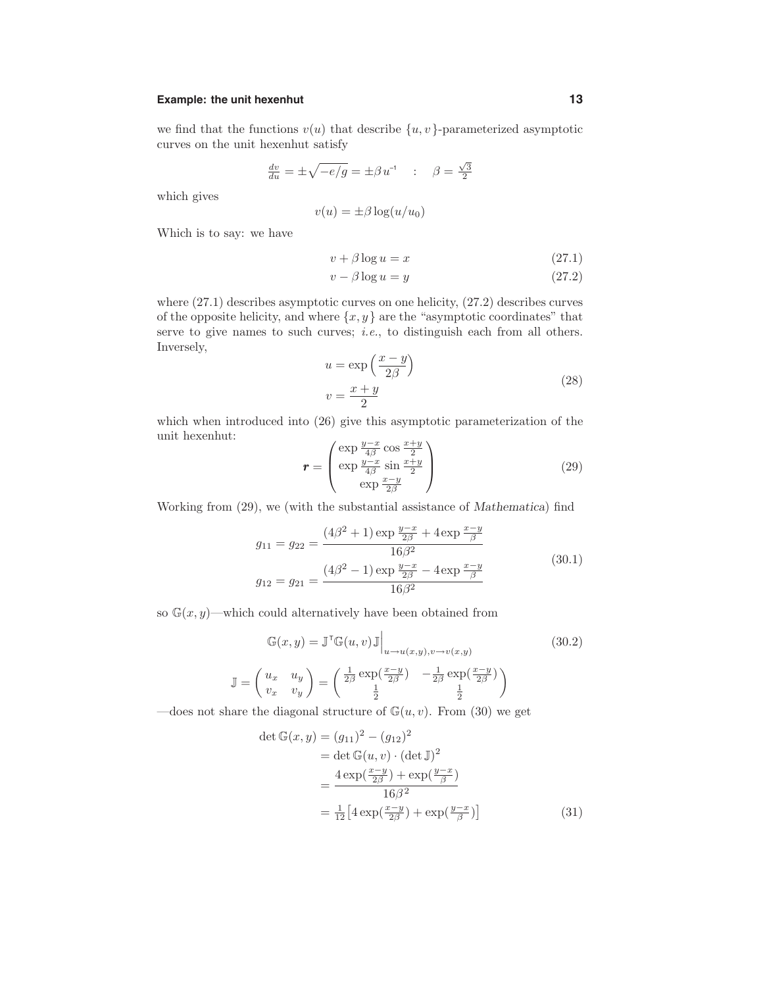# **Example:** the unit hexenhut **13**

we find that the functions  $v(u)$  that describe  $\{u, v\}$ -parameterized asymptotic curves on the unit hexenhut satisfy

$$
\frac{dv}{du} = \pm \sqrt{-e/g} = \pm \beta u^{-1} \quad : \quad \beta = \frac{\sqrt{3}}{2}
$$

which gives

$$
v(u) = \pm \beta \log(u/u_0)
$$

Which is to say: we have

$$
v + \beta \log u = x \tag{27.1}
$$

$$
v - \beta \log u = y \tag{27.2}
$$

where (27.1) describes asymptotic curves on one helicity, (27.2) describes curves of the opposite helicity, and where  $\{x, y\}$  are the "asymptotic coordinates" that serve to give names to such curves; *i.e.*, to distinguish each from all others. Inversely,

$$
u = \exp\left(\frac{x-y}{2\beta}\right)
$$
  

$$
v = \frac{x+y}{2}
$$
 (28)

which when introduced into (26) give this asymptotic parameterization of the unit hexenhut:

$$
\mathbf{r} = \begin{pmatrix} \exp\frac{y-x}{4\beta}\cos\frac{x+y}{2} \\ \exp\frac{y-x}{4\beta}\sin\frac{x+y}{2} \\ \exp\frac{x-y}{2\beta} \end{pmatrix}
$$
(29)

Working from (29), we (with the substantial assistance of Mathematica) find

$$
g_{11} = g_{22} = \frac{(4\beta^2 + 1) \exp{\frac{y - x}{2\beta}} + 4 \exp{\frac{x - y}{\beta}}}{16\beta^2}
$$
  

$$
g_{12} = g_{21} = \frac{(4\beta^2 - 1) \exp{\frac{y - x}{2\beta}} - 4 \exp{\frac{x - y}{\beta}}}{16\beta^2}
$$
(30.1)

so  $\mathbb{G}(x, y)$ —which could alternatively have been obtained from

$$
\mathbb{G}(x, y) = \mathbb{J}^{\mathsf{T}} \mathbb{G}(u, v) \mathbb{J} \Big|_{u \to u(x, y), v \to v(x, y)}
$$
(30.2)  

$$
\mathbb{J} = \begin{pmatrix} u_x & u_y \\ v_x & v_y \end{pmatrix} = \begin{pmatrix} \frac{1}{2\beta} \exp(\frac{x-y}{2\beta}) & -\frac{1}{2\beta} \exp(\frac{x-y}{2\beta}) \\ \frac{1}{2} & \frac{1}{2} \end{pmatrix}
$$

—does not share the diagonal structure of  $\mathbb{G}(u, v)$ . From (30) we get

$$
\det \mathbb{G}(x, y) = (g_{11})^2 - (g_{12})^2
$$
  
= 
$$
\det \mathbb{G}(u, v) \cdot (\det \mathbb{J})^2
$$
  
= 
$$
\frac{4 \exp(\frac{x-y}{2\beta}) + \exp(\frac{y-x}{\beta})}{16\beta^2}
$$
  
= 
$$
\frac{1}{12} [4 \exp(\frac{x-y}{2\beta}) + \exp(\frac{y-x}{\beta})]
$$
(31)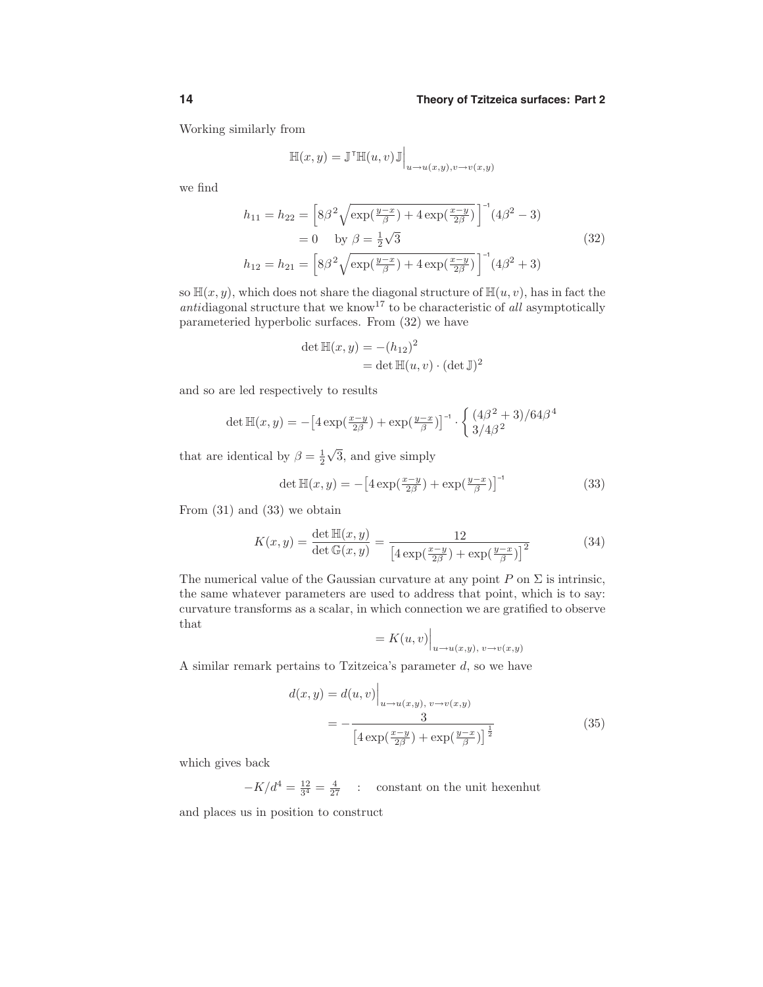Working similarly from

$$
\mathbb{H}(x,y) = \mathbb{J}^{\mathsf{T}} \mathbb{H}(u,v) \mathbb{J} \Big|_{u \to u(x,y), v \to v(x,y)}
$$

we find

$$
h_{11} = h_{22} = \left[ 8\beta^2 \sqrt{\exp(\frac{y-x}{\beta}) + 4 \exp(\frac{x-y}{2\beta})} \right]^{-1} (4\beta^2 - 3)
$$
  
= 0 by  $\beta = \frac{1}{2}\sqrt{3}$  (32)  

$$
h_{12} = h_{21} = \left[ 8\beta^2 \sqrt{\exp(\frac{y-x}{\beta}) + 4 \exp(\frac{x-y}{2\beta})} \right]^{-1} (4\beta^2 + 3)
$$

so  $\mathbb{H}(x, y)$ , which does not share the diagonal structure of  $\mathbb{H}(u, v)$ , has in fact the antidiagonal structure that we know<sup>17</sup> to be characteristic of all asymptotically parameteried hyperbolic surfaces. From (32) we have

$$
\det \mathbb{H}(x, y) = -(h_{12})^2
$$
  
= det  $\mathbb{H}(u, v) \cdot (\det \mathbb{J})^2$ 

and so are led respectively to results

$$
\det \mathbb{H}(x, y) = -\left[4\exp(\frac{x-y}{2\beta}) + \exp(\frac{y-x}{\beta})\right]^{-1} \cdot \left\{\frac{(4\beta^2 + 3)/64\beta^4}{3/4\beta^2}\right\}
$$

that are identical by  $\beta = \frac{1}{2}\sqrt{3}$ , and give simply

$$
\det \mathbb{H}(x, y) = -\left[4\exp\left(\frac{x-y}{2\beta}\right) + \exp\left(\frac{y-x}{\beta}\right)\right]^{-1} \tag{33}
$$

From (31) and (33) we obtain

$$
K(x,y) = \frac{\det \mathbb{H}(x,y)}{\det \mathbb{G}(x,y)} = \frac{12}{\left[4\exp(\frac{x-y}{2\beta}) + \exp(\frac{y-x}{\beta})\right]^2}
$$
(34)

The numerical value of the Gaussian curvature at any point  $P$  on  $\Sigma$  is intrinsic, the same whatever parameters are used to address that point, which is to say: curvature transforms as a scalar, in which connection we are gratified to observe that

$$
= K(u, v)\Big|_{u \to u(x, y), v \to v(x, y)}
$$

A similar remark pertains to Tzitzeica's parameter  $d$ , so we have

 $\mathbf{d}$ 

$$
d(x,y) = d(u,v)\Big|_{u \to u(x,y), v \to v(x,y)}
$$
  
= 
$$
-\frac{3}{\left[4\exp(\frac{x-y}{2\beta}) + \exp(\frac{y-x}{\beta})\right]^{\frac{1}{2}}}
$$
(35)

which gives back

 $-K/d^4 = \frac{12}{3^4} = \frac{4}{27}$  : constant on the unit hexenhut and places us in position to construct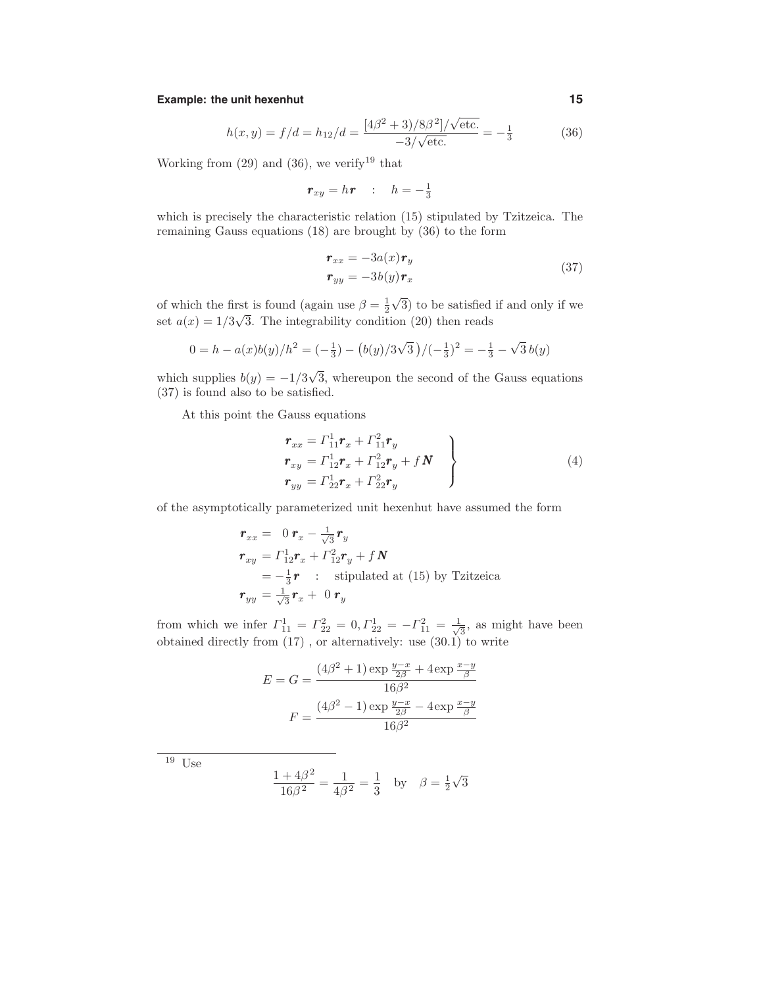# **Example:** the unit hexenhut **15**

$$
h(x,y) = f/d = h_{12}/d = \frac{[4\beta^2 + 3)/8\beta^2]/\sqrt{\text{etc.}}}{-3/\sqrt{\text{etc.}}} = -\frac{1}{3}
$$
(36)

Working from  $(29)$  and  $(36)$ , we verify<sup>19</sup> that

$$
\boldsymbol{r}_{xy} = h\boldsymbol{r} \quad : \quad h = -\frac{1}{3}
$$

which is precisely the characteristic relation (15) stipulated by Tzitzeica. The remaining Gauss equations (18) are brought by (36) to the form

$$
\begin{aligned} \mathbf{r}_{xx} &= -3a(x)\mathbf{r}_y\\ \mathbf{r}_{yy} &= -3b(y)\mathbf{r}_x \end{aligned} \tag{37}
$$

of which the first is found (again use  $\beta = \frac{1}{2}\sqrt{3}$ ) to be satisfied if and only if we set  $a(x) = 1/3\sqrt{3}$ . The integrability condition (20) then reads

$$
0 = h - a(x)b(y)/h^{2} = \left(-\frac{1}{3}\right) - \left(\frac{b(y)}{3\sqrt{3}}\right)/\left(-\frac{1}{3}\right)^{2} = -\frac{1}{3} - \sqrt{3}b(y)
$$

which supplies  $b(y) = -1/3\sqrt{3}$ , whereupon the second of the Gauss equations (37) is found also to be satisfied.

At this point the Gauss equations

$$
\begin{aligned}\n\mathbf{r}_{xx} &= \Gamma_{11}^{1} \mathbf{r}_{x} + \Gamma_{11}^{2} \mathbf{r}_{y} \\
\mathbf{r}_{xy} &= \Gamma_{12}^{1} \mathbf{r}_{x} + \Gamma_{12}^{2} \mathbf{r}_{y} + f \mathbf{N} \\
\mathbf{r}_{yy} &= \Gamma_{22}^{1} \mathbf{r}_{x} + \Gamma_{22}^{2} \mathbf{r}_{y}\n\end{aligned} \tag{4}
$$

of the asymptotically parameterized unit hexenhut have assumed the form

$$
\begin{aligned}\n\mathbf{r}_{xx} &= 0 \, \mathbf{r}_x - \frac{1}{\sqrt{3}} \mathbf{r}_y \\
\mathbf{r}_{xy} &= \Gamma_{12}^1 \mathbf{r}_x + \Gamma_{12}^2 \mathbf{r}_y + f \, \mathbf{N} \\
&= -\frac{1}{3} \mathbf{r} \quad : \quad \text{stipulated at (15) by Tzitzeica} \\
\mathbf{r}_{yy} &= \frac{1}{\sqrt{3}} \mathbf{r}_x + 0 \, \mathbf{r}_y\n\end{aligned}
$$

from which we infer  $\Gamma_{11}^1 = \Gamma_{22}^2 = 0, \Gamma_{22}^1 = -\Gamma_{11}^2 = \frac{1}{\sqrt{3}}$ , as might have been obtained directly from (17) , or alternatively: use (30.1) to write

$$
E = G = \frac{(4\beta^2 + 1) \exp{\frac{y - x}{2\beta}} + 4 \exp{\frac{x - y}{\beta}}}{16\beta^2}
$$

$$
F = \frac{(4\beta^2 - 1) \exp{\frac{y - x}{2\beta}} - 4 \exp{\frac{x - y}{\beta}}}{16\beta^2}
$$

 $^{\overline{19}}$ Use

$$
\frac{1+4\beta^2}{16\beta^2} = \frac{1}{4\beta^2} = \frac{1}{3} \text{ by } \beta = \frac{1}{2}\sqrt{3}
$$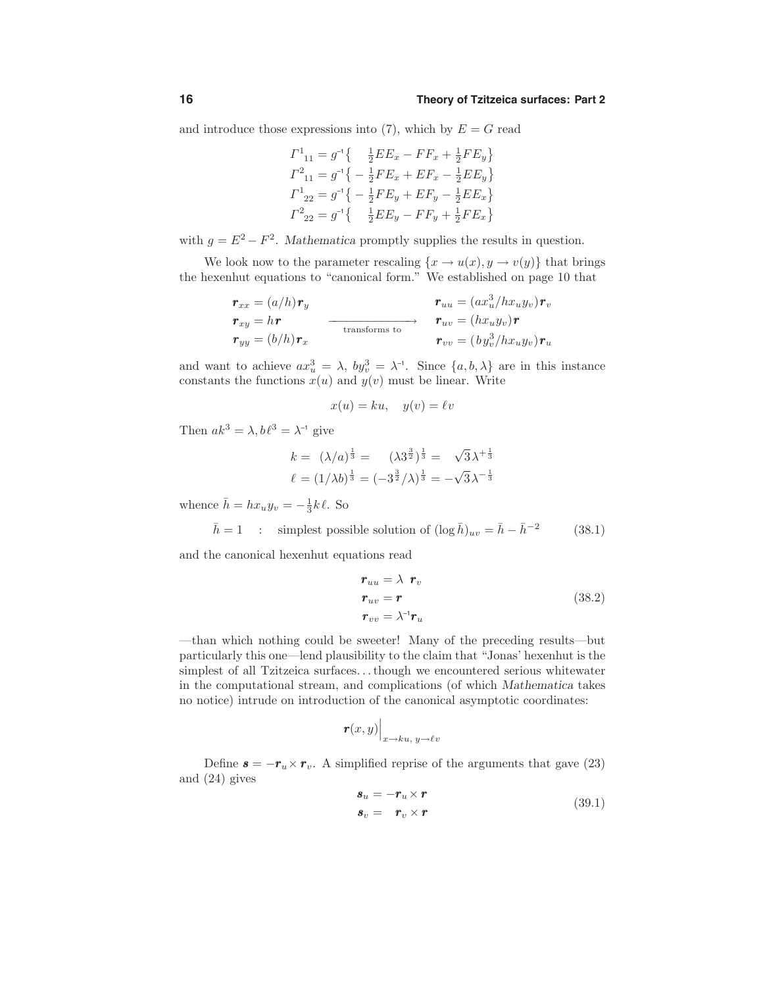and introduce those expressions into  $(7)$ , which by  $E = G$  read

$$
\begin{aligned} \varGamma^1_{11} &= g^{-1} \{ & \frac{1}{2} E E_x - F F_x + \frac{1}{2} F E_y \} \\ \varGamma^2_{11} &= g^{-1} \{ -\frac{1}{2} F E_x + E F_x - \frac{1}{2} E E_y \} \\ \varGamma^1_{22} &= g^{-1} \{ -\frac{1}{2} F E_y + E F_y - \frac{1}{2} E E_x \} \\ \varGamma^2_{22} &= g^{-1} \{ -\frac{1}{2} E E_y - F F_y + \frac{1}{2} F E_x \} \end{aligned}
$$

with  $g = E^2 - F^2$ . Mathematica promptly supplies the results in question.

We look now to the parameter rescaling  $\{x \to u(x), y \to v(y)\}\)$  that brings the hexenhut equations to "canonical form." We established on page 10 that

$$
\begin{aligned}\n\mathbf{r}_{xx} &= (a/h)\mathbf{r}_y \\
\mathbf{r}_{xy} &= h\mathbf{r} \\
\mathbf{r}_{yy} &= (b/h)\mathbf{r}_x\n\end{aligned}\n\quad\n\begin{aligned}\n\mathbf{r}_{uu} &= (ax_u^3/hx_uy_v)\mathbf{r}_v \\
\mathbf{r}_{uv} &= (hx_uy_v)\mathbf{r} \\
\mathbf{r}_{vv} &= (by_v^3/hx_uy_v)\mathbf{r}_u\n\end{aligned}
$$

and want to achieve  $ax_u^3 = \lambda$ ,  $by_v^3 = \lambda^{-1}$ . Since  $\{a, b, \lambda\}$  are in this instance constants the functions  $x(u)$  and  $y(v)$  must be linear. Write

$$
x(u) = ku, \quad y(v) = \ell v
$$

Then  $ak^3 = \lambda, b\ell^3 = \lambda^{-1}$  give

$$
k = (\lambda/a)^{\frac{1}{3}} = (\lambda 3^{\frac{3}{2}})^{\frac{1}{3}} = \sqrt{3}\lambda^{+\frac{1}{3}}
$$

$$
\ell = (1/\lambda b)^{\frac{1}{3}} = (-3^{\frac{3}{2}}/\lambda)^{\frac{1}{3}} = -\sqrt{3}\lambda^{-\frac{1}{3}}
$$

whence  $\bar{h} = hx_uy_v = -\frac{1}{3}k\ell$ . So

$$
\bar{h} = 1
$$
 : simplest possible solution of  $(\log \bar{h})_{uv} = \bar{h} - \bar{h}^{-2}$  (38.1)

and the canonical hexenhut equations read

$$
r_{uu} = \lambda r_v
$$
  
\n
$$
r_{uv} = r
$$
  
\n
$$
r_{vv} = \lambda^{-1} r_u
$$
  
\n(38.2)

—than which nothing could be sweeter! Many of the preceding results—but particularly this one—lend plausibility to the claim that "Jonas' hexenhut is the simplest of all Tzitzeica surfaces. . .though we encountered serious whitewater in the computational stream, and complications (of which Mathematica takes no notice) intrude on introduction of the canonical asymptotic coordinates:

$$
\boldsymbol{r}(x,y)\Big|_{x\to ku,\ y\to \ell v}
$$

Define  $\mathbf{s} = -\mathbf{r}_u \times \mathbf{r}_v$ . A simplified reprise of the arguments that gave (23) and (24) gives

$$
\begin{aligned}\n\mathbf{s}_u &= -\mathbf{r}_u \times \mathbf{r} \\
\mathbf{s}_v &= \mathbf{r}_v \times \mathbf{r}\n\end{aligned} \tag{39.1}
$$